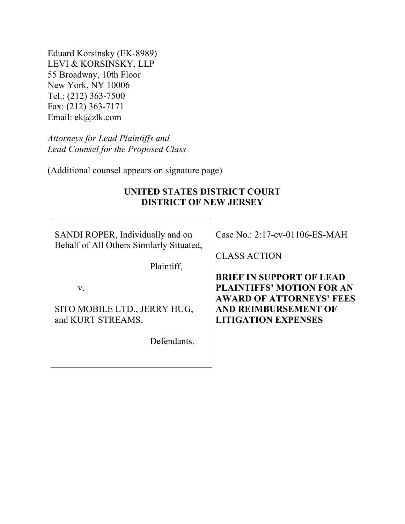Eduard Korsinsky (EK-8989) LEVI & KORSINSKY, LLP 55 Broadway, 10th Floor New York, NY 10006 Tel.: (212) 363-7500 Fax: (212) 363-7171 Email: ek@zlk.com

*Attorneys for Lead Plaintiffs and Lead Counsel for the Proposed Class* 

(Additional counsel appears on signature page)

#### **UNITED STATES DISTRICT COURT DISTRICT OF NEW JERSEY**

SANDI ROPER, Individually and on Behalf of All Others Similarly Situated,

Plaintiff,

v.

SITO MOBILE LTD., JERRY HUG, and KURT STREAMS,

Defendants.

Case No.: 2:17-cv-01106-ES-MAH

CLASS ACTION

**BRIEF IN SUPPORT OF LEAD PLAINTIFFS' MOTION FOR AN AWARD OF ATTORNEYS' FEES AND REIMBURSEMENT OF LITIGATION EXPENSES**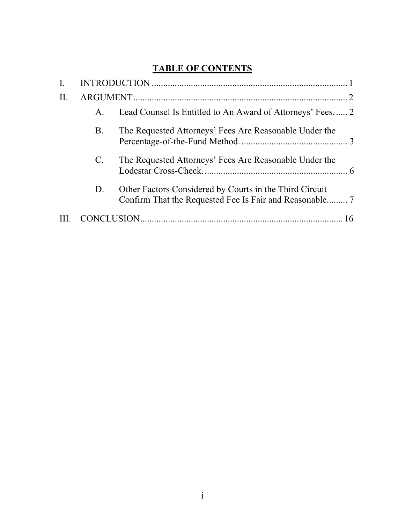## **TABLE OF CONTENTS**

| I.  |             |                                                           |  |
|-----|-------------|-----------------------------------------------------------|--|
| II. |             |                                                           |  |
|     | Α.          | Lead Counsel Is Entitled to An Award of Attorneys' Fees 2 |  |
|     | Β.          | The Requested Attorneys' Fees Are Reasonable Under the    |  |
|     | $C_{\cdot}$ | The Requested Attorneys' Fees Are Reasonable Under the    |  |
|     | D.          | Other Factors Considered by Courts in the Third Circuit   |  |
|     |             |                                                           |  |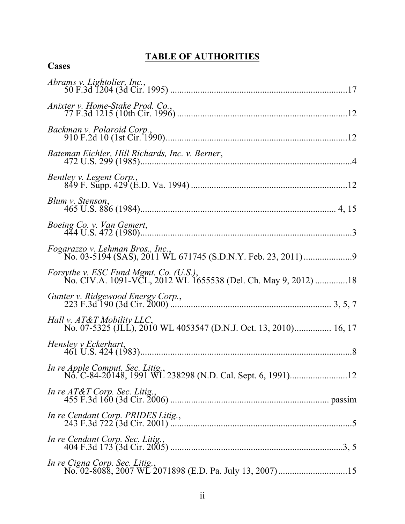# **TABLE OF AUTHORITIES**

**Cases**

| Bateman Eichler, Hill Richards, Inc. v. Berner,                                                            |
|------------------------------------------------------------------------------------------------------------|
| Bentley v. Legent Corp.,                                                                                   |
| Blum v. Stenson,                                                                                           |
|                                                                                                            |
|                                                                                                            |
| Forsythe v. ESC Fund Mgmt. Co. (U.S.),<br>No. CIV.A. 1091-VCL, 2012 WL 1655538 (Del. Ch. May 9, 2012) 18   |
|                                                                                                            |
| <i>Hall v. AT&amp;T Mobility LLC</i> ,<br>No. 07-5325 (JLL), 2010 WL 4053547 (D.N.J. Oct. 13, 2010) 16, 17 |
| Hensley v Eckerhart,                                                                                       |
|                                                                                                            |
| In re $AT\&T$ Corp. Sec. Litig.,                                                                           |
| In re Cendant Corp. PRIDES Litig.,                                                                         |
| In re Cendant Corp. Sec. Litig.,                                                                           |
|                                                                                                            |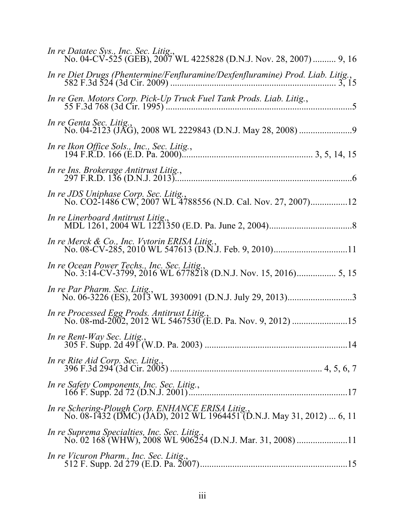| In re Datatec Sys., Inc. Sec. Litig.,<br>No. 04-CV-525 (GEB), 2007 WL 4225828 (D.N.J. Nov. 28, 2007)  9, 16                |
|----------------------------------------------------------------------------------------------------------------------------|
|                                                                                                                            |
|                                                                                                                            |
| In re Genta Sec. Litig.,                                                                                                   |
| In re Ikon Office Sols., Inc., Sec. Litig.,                                                                                |
| In re Ins. Brokerage Antitrust Litig.,                                                                                     |
| <i>In re JDS Uniphase Corp. Sec. Litig.</i> ,<br>No. CO2-1486 CW, 2007 WL 4788556 (N.D. Cal. Nov. 27, 2007)12              |
| In re Linerboard Antitrust Litig.,                                                                                         |
| In re Merck & Co., Inc. Vytorin ERISA Litig.,                                                                              |
| In re Ocean Power Techs., Inc. Sec. Litig.,                                                                                |
| In re Par Pharm. Sec. Litig.,                                                                                              |
| In re Processed Egg Prods. Antitrust Litig.,                                                                               |
|                                                                                                                            |
| In re Rite Aid Corp. Sec. Litig.,                                                                                          |
|                                                                                                                            |
| In re Schering-Plough Corp. ENHANCE ERISA Litig.,<br>No. 08-1432 (DMC) (JAD), 2012 WL 1964451 (D.N.J. May 31, 2012)  6, 11 |
| In re Suprema Specialties, Inc. Sec. Litig.,                                                                               |
| In re Vicuron Pharm., Inc. Sec. Litig.,                                                                                    |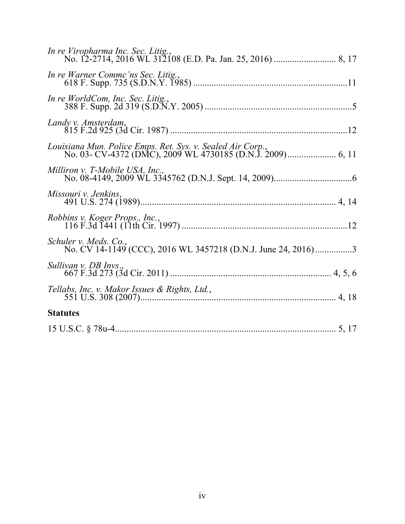| In re Viropharma Inc. Sec. Litig.,                                                     |
|----------------------------------------------------------------------------------------|
| In re Warner Commc'ns Sec. Litig.,                                                     |
|                                                                                        |
| Landy v. Amsterdam,                                                                    |
|                                                                                        |
| Milliron v. T-Mobile USA, Inc.,                                                        |
| Missouri v. Jenkins,                                                                   |
| Robbins v. Koger Props., Inc.,                                                         |
| Schuler v. Meds. Co.,<br>No. CV 14-1149 (CCC), 2016 WL 3457218 (D.N.J. June 24, 2016)3 |
| Sullivan v. DB Invs.,                                                                  |
|                                                                                        |
| <b>Statutes</b>                                                                        |
|                                                                                        |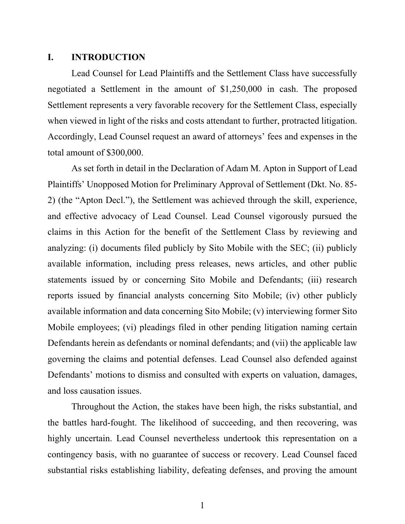#### **I. INTRODUCTION**

Lead Counsel for Lead Plaintiffs and the Settlement Class have successfully negotiated a Settlement in the amount of \$1,250,000 in cash. The proposed Settlement represents a very favorable recovery for the Settlement Class, especially when viewed in light of the risks and costs attendant to further, protracted litigation. Accordingly, Lead Counsel request an award of attorneys' fees and expenses in the total amount of \$300,000.

As set forth in detail in the Declaration of Adam M. Apton in Support of Lead Plaintiffs' Unopposed Motion for Preliminary Approval of Settlement (Dkt. No. 85- 2) (the "Apton Decl."), the Settlement was achieved through the skill, experience, and effective advocacy of Lead Counsel. Lead Counsel vigorously pursued the claims in this Action for the benefit of the Settlement Class by reviewing and analyzing: (i) documents filed publicly by Sito Mobile with the SEC; (ii) publicly available information, including press releases, news articles, and other public statements issued by or concerning Sito Mobile and Defendants; (iii) research reports issued by financial analysts concerning Sito Mobile; (iv) other publicly available information and data concerning Sito Mobile; (v) interviewing former Sito Mobile employees; (vi) pleadings filed in other pending litigation naming certain Defendants herein as defendants or nominal defendants; and (vii) the applicable law governing the claims and potential defenses. Lead Counsel also defended against Defendants' motions to dismiss and consulted with experts on valuation, damages, and loss causation issues.

Throughout the Action, the stakes have been high, the risks substantial, and the battles hard-fought. The likelihood of succeeding, and then recovering, was highly uncertain. Lead Counsel nevertheless undertook this representation on a contingency basis, with no guarantee of success or recovery. Lead Counsel faced substantial risks establishing liability, defeating defenses, and proving the amount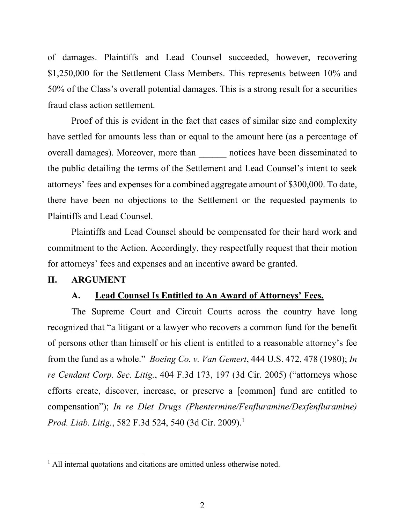of damages. Plaintiffs and Lead Counsel succeeded, however, recovering \$1,250,000 for the Settlement Class Members. This represents between 10% and 50% of the Class's overall potential damages. This is a strong result for a securities fraud class action settlement.

Proof of this is evident in the fact that cases of similar size and complexity have settled for amounts less than or equal to the amount here (as a percentage of overall damages). Moreover, more than **notices** have been disseminated to the public detailing the terms of the Settlement and Lead Counsel's intent to seek attorneys' fees and expenses for a combined aggregate amount of \$300,000. To date, there have been no objections to the Settlement or the requested payments to Plaintiffs and Lead Counsel.

Plaintiffs and Lead Counsel should be compensated for their hard work and commitment to the Action. Accordingly, they respectfully request that their motion for attorneys' fees and expenses and an incentive award be granted.

#### **II. ARGUMENT**

#### **A. Lead Counsel Is Entitled to An Award of Attorneys' Fees.**

The Supreme Court and Circuit Courts across the country have long recognized that "a litigant or a lawyer who recovers a common fund for the benefit of persons other than himself or his client is entitled to a reasonable attorney's fee from the fund as a whole." *Boeing Co. v. Van Gemert*, 444 U.S. 472, 478 (1980); *In re Cendant Corp. Sec. Litig.*, 404 F.3d 173, 197 (3d Cir. 2005) ("attorneys whose efforts create, discover, increase, or preserve a [common] fund are entitled to compensation"); *In re Diet Drugs (Phentermine/Fenfluramine/Dexfenfluramine) Prod. Liab. Litig.*, 582 F.3d 524, 540 (3d Cir. 2009).1

<sup>&</sup>lt;sup>1</sup> All internal quotations and citations are omitted unless otherwise noted.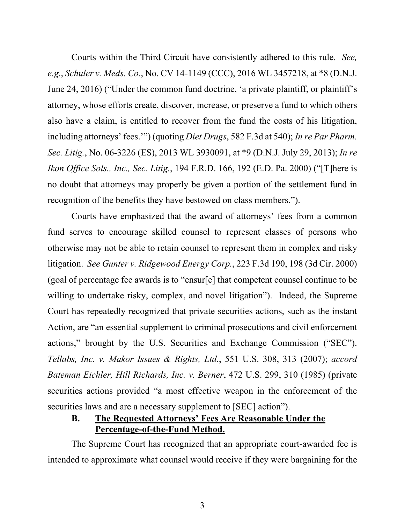Courts within the Third Circuit have consistently adhered to this rule. *See, e.g.*, *Schuler v. Meds. Co.*, No. CV 14-1149 (CCC), 2016 WL 3457218, at \*8 (D.N.J. June 24, 2016) ("Under the common fund doctrine, 'a private plaintiff, or plaintiff's attorney, whose efforts create, discover, increase, or preserve a fund to which others also have a claim, is entitled to recover from the fund the costs of his litigation, including attorneys' fees.'") (quoting *Diet Drugs*, 582 F.3d at 540); *In re Par Pharm. Sec. Litig.*, No. 06-3226 (ES), 2013 WL 3930091, at \*9 (D.N.J. July 29, 2013); *In re Ikon Office Sols., Inc., Sec. Litig.*, 194 F.R.D. 166, 192 (E.D. Pa. 2000) ("[T]here is no doubt that attorneys may properly be given a portion of the settlement fund in recognition of the benefits they have bestowed on class members.").

Courts have emphasized that the award of attorneys' fees from a common fund serves to encourage skilled counsel to represent classes of persons who otherwise may not be able to retain counsel to represent them in complex and risky litigation. *See Gunter v. Ridgewood Energy Corp.*, 223 F.3d 190, 198 (3d Cir. 2000) (goal of percentage fee awards is to "ensur[e] that competent counsel continue to be willing to undertake risky, complex, and novel litigation"). Indeed, the Supreme Court has repeatedly recognized that private securities actions, such as the instant Action, are "an essential supplement to criminal prosecutions and civil enforcement actions," brought by the U.S. Securities and Exchange Commission ("SEC"). *Tellabs, Inc. v. Makor Issues & Rights, Ltd.*, 551 U.S. 308, 313 (2007); *accord Bateman Eichler, Hill Richards, Inc. v. Berner*, 472 U.S. 299, 310 (1985) (private securities actions provided "a most effective weapon in the enforcement of the securities laws and are a necessary supplement to [SEC] action").

### **B. The Requested Attorneys' Fees Are Reasonable Under the Percentage-of-the-Fund Method.**

The Supreme Court has recognized that an appropriate court-awarded fee is intended to approximate what counsel would receive if they were bargaining for the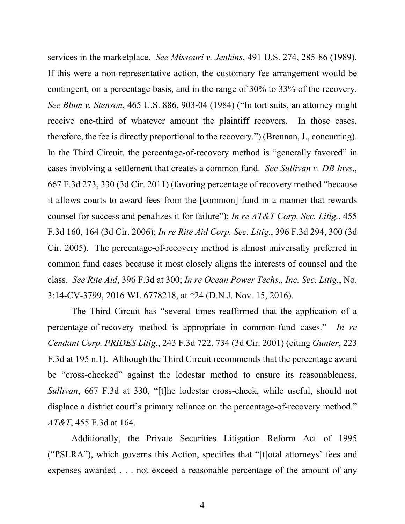services in the marketplace. *See Missouri v. Jenkins*, 491 U.S. 274, 285-86 (1989). If this were a non-representative action, the customary fee arrangement would be contingent, on a percentage basis, and in the range of 30% to 33% of the recovery. *See Blum v. Stenson*, 465 U.S. 886, 903-04 (1984) ("In tort suits, an attorney might receive one-third of whatever amount the plaintiff recovers. In those cases, therefore, the fee is directly proportional to the recovery.") (Brennan, J., concurring). In the Third Circuit, the percentage-of-recovery method is "generally favored" in cases involving a settlement that creates a common fund. *See Sullivan v. DB Invs*., 667 F.3d 273, 330 (3d Cir. 2011) (favoring percentage of recovery method "because it allows courts to award fees from the [common] fund in a manner that rewards counsel for success and penalizes it for failure"); *In re AT&T Corp. Sec. Litig.*, 455 F.3d 160, 164 (3d Cir. 2006); *In re Rite Aid Corp. Sec. Litig*., 396 F.3d 294, 300 (3d Cir. 2005). The percentage-of-recovery method is almost universally preferred in common fund cases because it most closely aligns the interests of counsel and the class. *See Rite Aid*, 396 F.3d at 300; *In re Ocean Power Techs., Inc. Sec. Litig.*, No. 3:14-CV-3799, 2016 WL 6778218, at \*24 (D.N.J. Nov. 15, 2016).

The Third Circuit has "several times reaffirmed that the application of a percentage-of-recovery method is appropriate in common-fund cases." *In re Cendant Corp. PRIDES Litig.*, 243 F.3d 722, 734 (3d Cir. 2001) (citing *Gunter*, 223 F.3d at 195 n.1). Although the Third Circuit recommends that the percentage award be "cross-checked" against the lodestar method to ensure its reasonableness, *Sullivan*, 667 F.3d at 330, "[t]he lodestar cross-check, while useful, should not displace a district court's primary reliance on the percentage-of-recovery method." *AT&T*, 455 F.3d at 164.

Additionally, the Private Securities Litigation Reform Act of 1995 ("PSLRA"), which governs this Action, specifies that "[t]otal attorneys' fees and expenses awarded . . . not exceed a reasonable percentage of the amount of any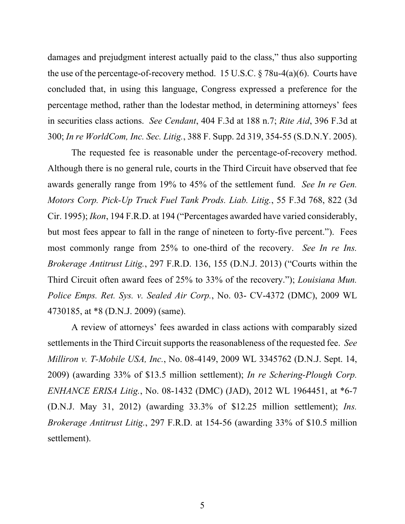damages and prejudgment interest actually paid to the class," thus also supporting the use of the percentage-of-recovery method. 15 U.S.C.  $\S$  78u-4(a)(6). Courts have concluded that, in using this language, Congress expressed a preference for the percentage method, rather than the lodestar method, in determining attorneys' fees in securities class actions. *See Cendant*, 404 F.3d at 188 n.7; *Rite Aid*, 396 F.3d at 300; *In re WorldCom, Inc. Sec. Litig.*, 388 F. Supp. 2d 319, 354-55 (S.D.N.Y. 2005).

The requested fee is reasonable under the percentage-of-recovery method. Although there is no general rule, courts in the Third Circuit have observed that fee awards generally range from 19% to 45% of the settlement fund. *See In re Gen. Motors Corp. Pick-Up Truck Fuel Tank Prods. Liab. Litig.*, 55 F.3d 768, 822 (3d Cir. 1995); *Ikon*, 194 F.R.D. at 194 ("Percentages awarded have varied considerably, but most fees appear to fall in the range of nineteen to forty-five percent."). Fees most commonly range from 25% to one-third of the recovery. *See In re Ins. Brokerage Antitrust Litig.*, 297 F.R.D. 136, 155 (D.N.J. 2013) ("Courts within the Third Circuit often award fees of 25% to 33% of the recovery."); *Louisiana Mun. Police Emps. Ret. Sys. v. Sealed Air Corp.*, No. 03- CV-4372 (DMC), 2009 WL 4730185, at \*8 (D.N.J. 2009) (same).

A review of attorneys' fees awarded in class actions with comparably sized settlements in the Third Circuit supports the reasonableness of the requested fee. *See Milliron v. T-Mobile USA, Inc.*, No. 08-4149, 2009 WL 3345762 (D.N.J. Sept. 14, 2009) (awarding 33% of \$13.5 million settlement); *In re Schering-Plough Corp. ENHANCE ERISA Litig.*, No. 08-1432 (DMC) (JAD), 2012 WL 1964451, at \*6-7 (D.N.J. May 31, 2012) (awarding 33.3% of \$12.25 million settlement); *Ins. Brokerage Antitrust Litig.*, 297 F.R.D. at 154-56 (awarding 33% of \$10.5 million settlement).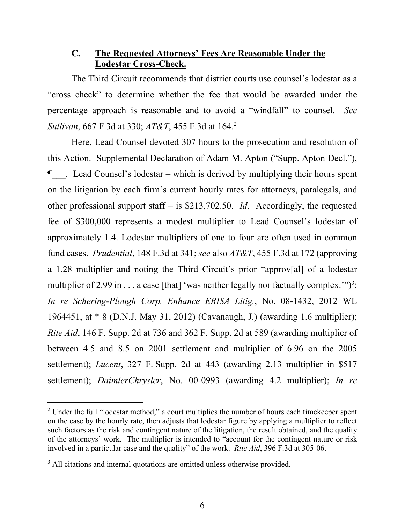#### **C. The Requested Attorneys' Fees Are Reasonable Under the Lodestar Cross-Check.**

The Third Circuit recommends that district courts use counsel's lodestar as a "cross check" to determine whether the fee that would be awarded under the percentage approach is reasonable and to avoid a "windfall" to counsel. *See Sullivan*, 667 F.3d at 330; *AT&T*, 455 F.3d at 164.2

Here, Lead Counsel devoted 307 hours to the prosecution and resolution of this Action. Supplemental Declaration of Adam M. Apton ("Supp. Apton Decl."), ¶\_\_\_. Lead Counsel's lodestar – which is derived by multiplying their hours spent on the litigation by each firm's current hourly rates for attorneys, paralegals, and other professional support staff – is \$213,702.50. *Id*. Accordingly, the requested fee of \$300,000 represents a modest multiplier to Lead Counsel's lodestar of approximately 1.4. Lodestar multipliers of one to four are often used in common fund cases. *Prudential*, 148 F.3d at 341; *see* also *AT&T*, 455 F.3d at 172 (approving a 1.28 multiplier and noting the Third Circuit's prior "approv[al] of a lodestar multiplier of 2.99 in . . . a case [that] 'was neither legally nor factually complex.'" $)^3$ ; *In re Schering-Plough Corp. Enhance ERISA Litig.*, No. 08-1432, 2012 WL 1964451, at \* 8 (D.N.J. May 31, 2012) (Cavanaugh, J.) (awarding 1.6 multiplier); *Rite Aid*, 146 F. Supp. 2d at 736 and 362 F. Supp. 2d at 589 (awarding multiplier of between 4.5 and 8.5 on 2001 settlement and multiplier of 6.96 on the 2005 settlement); *Lucent*, 327 F. Supp. 2d at 443 (awarding 2.13 multiplier in \$517 settlement); *DaimlerChrysler*, No. 00-0993 (awarding 4.2 multiplier); *In re* 

<sup>&</sup>lt;sup>2</sup> Under the full "lodestar method," a court multiplies the number of hours each timekeeper spent on the case by the hourly rate, then adjusts that lodestar figure by applying a multiplier to reflect such factors as the risk and contingent nature of the litigation, the result obtained, and the quality of the attorneys' work. The multiplier is intended to "account for the contingent nature or risk involved in a particular case and the quality" of the work. *Rite Aid*, 396 F.3d at 305-06.

<sup>&</sup>lt;sup>3</sup> All citations and internal quotations are omitted unless otherwise provided.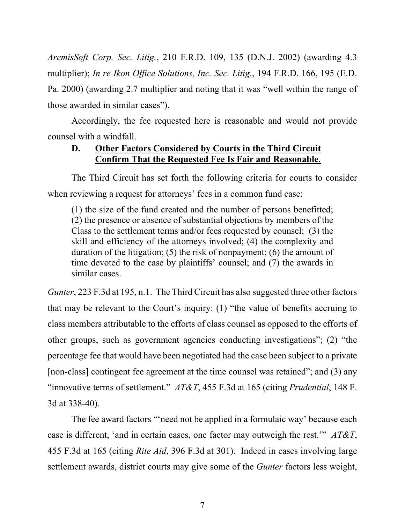*AremisSoft Corp. Sec. Litig.*, 210 F.R.D. 109, 135 (D.N.J. 2002) (awarding 4.3 multiplier); *In re Ikon Office Solutions, Inc. Sec. Litig.*, 194 F.R.D. 166, 195 (E.D. Pa. 2000) (awarding 2.7 multiplier and noting that it was "well within the range of those awarded in similar cases").

Accordingly, the fee requested here is reasonable and would not provide counsel with a windfall.

#### **D. Other Factors Considered by Courts in the Third Circuit Confirm That the Requested Fee Is Fair and Reasonable.**

The Third Circuit has set forth the following criteria for courts to consider when reviewing a request for attorneys' fees in a common fund case:

(1) the size of the fund created and the number of persons benefitted; (2) the presence or absence of substantial objections by members of the Class to the settlement terms and/or fees requested by counsel; (3) the skill and efficiency of the attorneys involved; (4) the complexity and duration of the litigation; (5) the risk of nonpayment; (6) the amount of time devoted to the case by plaintiffs' counsel; and (7) the awards in similar cases.

*Gunter*, 223 F.3d at 195, n.1. The Third Circuit has also suggested three other factors that may be relevant to the Court's inquiry: (1) "the value of benefits accruing to class members attributable to the efforts of class counsel as opposed to the efforts of other groups, such as government agencies conducting investigations"; (2) "the percentage fee that would have been negotiated had the case been subject to a private [non-class] contingent fee agreement at the time counsel was retained"; and (3) any "innovative terms of settlement." *AT&T*, 455 F.3d at 165 (citing *Prudential*, 148 F. 3d at 338-40).

The fee award factors "'need not be applied in a formulaic way' because each case is different, 'and in certain cases, one factor may outweigh the rest.'" *AT&T*, 455 F.3d at 165 (citing *Rite Aid*, 396 F.3d at 301). Indeed in cases involving large settlement awards, district courts may give some of the *Gunter* factors less weight,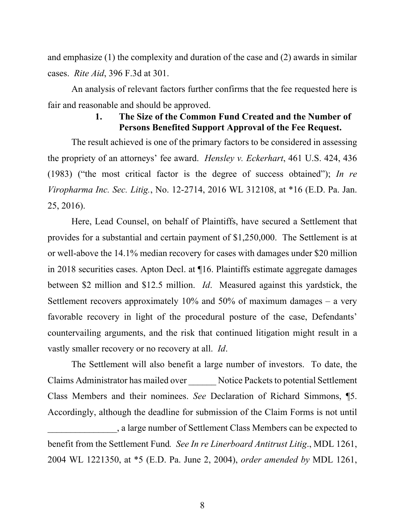and emphasize (1) the complexity and duration of the case and (2) awards in similar cases. *Rite Aid*, 396 F.3d at 301.

An analysis of relevant factors further confirms that the fee requested here is fair and reasonable and should be approved.

### **1. The Size of the Common Fund Created and the Number of Persons Benefited Support Approval of the Fee Request.**

The result achieved is one of the primary factors to be considered in assessing the propriety of an attorneys' fee award. *Hensley v. Eckerhart*, 461 U.S. 424, 436 (1983) ("the most critical factor is the degree of success obtained"); *In re Viropharma Inc. Sec. Litig.*, No. 12-2714, 2016 WL 312108, at \*16 (E.D. Pa. Jan. 25, 2016).

Here, Lead Counsel, on behalf of Plaintiffs, have secured a Settlement that provides for a substantial and certain payment of \$1,250,000. The Settlement is at or well-above the 14.1% median recovery for cases with damages under \$20 million in 2018 securities cases. Apton Decl. at ¶16. Plaintiffs estimate aggregate damages between \$2 million and \$12.5 million. *Id*. Measured against this yardstick, the Settlement recovers approximately 10% and 50% of maximum damages – a very favorable recovery in light of the procedural posture of the case, Defendants' countervailing arguments, and the risk that continued litigation might result in a vastly smaller recovery or no recovery at all. *Id*.

The Settlement will also benefit a large number of investors. To date, the Claims Administrator has mailed over \_\_\_\_\_\_ Notice Packets to potential Settlement Class Members and their nominees. *See* Declaration of Richard Simmons, ¶5. Accordingly, although the deadline for submission of the Claim Forms is not until \_\_\_\_\_\_\_\_\_\_\_\_\_\_\_, a large number of Settlement Class Members can be expected to benefit from the Settlement Fund*. See In re Linerboard Antitrust Litig*., MDL 1261, 2004 WL 1221350, at \*5 (E.D. Pa. June 2, 2004), *order amended by* MDL 1261,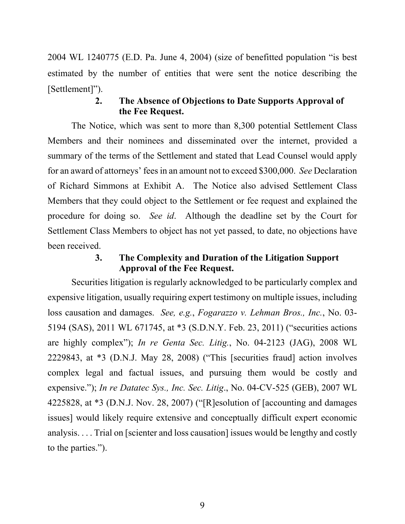2004 WL 1240775 (E.D. Pa. June 4, 2004) (size of benefitted population "is best estimated by the number of entities that were sent the notice describing the [Settlement]").

#### **2. The Absence of Objections to Date Supports Approval of the Fee Request.**

The Notice, which was sent to more than 8,300 potential Settlement Class Members and their nominees and disseminated over the internet, provided a summary of the terms of the Settlement and stated that Lead Counsel would apply for an award of attorneys' fees in an amount not to exceed \$300,000. *See* Declaration of Richard Simmons at Exhibit A. The Notice also advised Settlement Class Members that they could object to the Settlement or fee request and explained the procedure for doing so. *See id*. Although the deadline set by the Court for Settlement Class Members to object has not yet passed, to date, no objections have been received.

#### **3. The Complexity and Duration of the Litigation Support Approval of the Fee Request.**

Securities litigation is regularly acknowledged to be particularly complex and expensive litigation, usually requiring expert testimony on multiple issues, including loss causation and damages. *See, e.g.*, *Fogarazzo v. Lehman Bros., Inc.*, No. 03- 5194 (SAS), 2011 WL 671745, at \*3 (S.D.N.Y. Feb. 23, 2011) ("securities actions are highly complex"); *In re Genta Sec. Litig.*, No. 04-2123 (JAG), 2008 WL 2229843, at \*3 (D.N.J. May 28, 2008) ("This [securities fraud] action involves complex legal and factual issues, and pursuing them would be costly and expensive."); *In re Datatec Sys., Inc. Sec. Litig*., No. 04-CV-525 (GEB), 2007 WL 4225828, at \*3 (D.N.J. Nov. 28, 2007) ("[R]esolution of [accounting and damages issues] would likely require extensive and conceptually difficult expert economic analysis. . . . Trial on [scienter and loss causation] issues would be lengthy and costly to the parties.").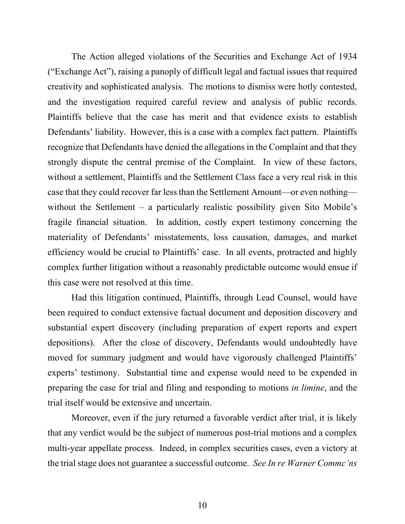The Action alleged violations of the Securities and Exchange Act of 1934 ("Exchange Act"), raising a panoply of difficult legal and factual issues that required creativity and sophisticated analysis. The motions to dismiss were hotly contested, and the investigation required careful review and analysis of public records. Plaintiffs believe that the case has merit and that evidence exists to establish Defendants' liability. However, this is a case with a complex fact pattern. Plaintiffs recognize that Defendants have denied the allegations in the Complaint and that they strongly dispute the central premise of the Complaint. In view of these factors, without a settlement, Plaintiffs and the Settlement Class face a very real risk in this case that they could recover far less than the Settlement Amount—or even nothing without the Settlement – a particularly realistic possibility given Sito Mobile's fragile financial situation. In addition, costly expert testimony concerning the materiality of Defendants' misstatements, loss causation, damages, and market efficiency would be crucial to Plaintiffs' case. In all events, protracted and highly complex further litigation without a reasonably predictable outcome would ensue if this case were not resolved at this time.

Had this litigation continued, Plaintiffs, through Lead Counsel, would have been required to conduct extensive factual document and deposition discovery and substantial expert discovery (including preparation of expert reports and expert depositions). After the close of discovery, Defendants would undoubtedly have moved for summary judgment and would have vigorously challenged Plaintiffs' experts' testimony. Substantial time and expense would need to be expended in preparing the case for trial and filing and responding to motions *in limine*, and the trial itself would be extensive and uncertain.

Moreover, even if the jury returned a favorable verdict after trial, it is likely that any verdict would be the subject of numerous post-trial motions and a complex multi-year appellate process. Indeed, in complex securities cases, even a victory at the trial stage does not guarantee a successful outcome. *See In re Warner Commc'ns*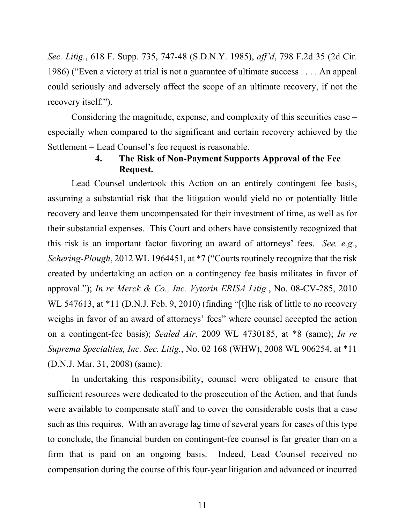*Sec. Litig.*, 618 F. Supp. 735, 747-48 (S.D.N.Y. 1985), *aff'd*, 798 F.2d 35 (2d Cir. 1986) ("Even a victory at trial is not a guarantee of ultimate success . . . . An appeal could seriously and adversely affect the scope of an ultimate recovery, if not the recovery itself.").

Considering the magnitude, expense, and complexity of this securities case – especially when compared to the significant and certain recovery achieved by the Settlement – Lead Counsel's fee request is reasonable.

### **4. The Risk of Non-Payment Supports Approval of the Fee Request.**

Lead Counsel undertook this Action on an entirely contingent fee basis, assuming a substantial risk that the litigation would yield no or potentially little recovery and leave them uncompensated for their investment of time, as well as for their substantial expenses. This Court and others have consistently recognized that this risk is an important factor favoring an award of attorneys' fees. *See, e.g.*, *Schering-Plough*, 2012 WL 1964451, at \*7 ("Courts routinely recognize that the risk created by undertaking an action on a contingency fee basis militates in favor of approval."); *In re Merck & Co., Inc. Vytorin ERISA Litig.*, No. 08-CV-285, 2010 WL 547613, at \*11 (D.N.J. Feb. 9, 2010) (finding "[t]he risk of little to no recovery weighs in favor of an award of attorneys' fees" where counsel accepted the action on a contingent-fee basis); *Sealed Air*, 2009 WL 4730185, at \*8 (same); *In re Suprema Specialties, Inc. Sec. Litig.*, No. 02 168 (WHW), 2008 WL 906254, at \*11 (D.N.J. Mar. 31, 2008) (same).

In undertaking this responsibility, counsel were obligated to ensure that sufficient resources were dedicated to the prosecution of the Action, and that funds were available to compensate staff and to cover the considerable costs that a case such as this requires. With an average lag time of several years for cases of this type to conclude, the financial burden on contingent-fee counsel is far greater than on a firm that is paid on an ongoing basis. Indeed, Lead Counsel received no compensation during the course of this four-year litigation and advanced or incurred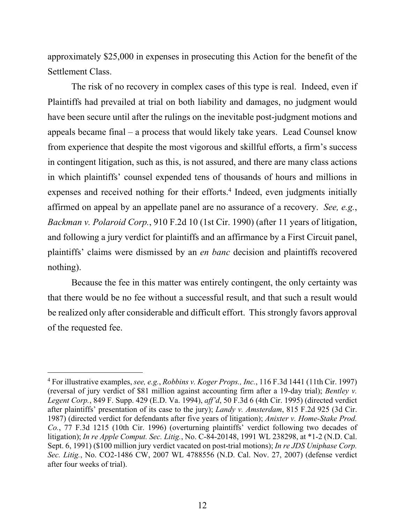approximately \$25,000 in expenses in prosecuting this Action for the benefit of the Settlement Class.

The risk of no recovery in complex cases of this type is real. Indeed, even if Plaintiffs had prevailed at trial on both liability and damages, no judgment would have been secure until after the rulings on the inevitable post-judgment motions and appeals became final – a process that would likely take years. Lead Counsel know from experience that despite the most vigorous and skillful efforts, a firm's success in contingent litigation, such as this, is not assured, and there are many class actions in which plaintiffs' counsel expended tens of thousands of hours and millions in expenses and received nothing for their efforts.<sup>4</sup> Indeed, even judgments initially affirmed on appeal by an appellate panel are no assurance of a recovery. *See, e.g.*, *Backman v. Polaroid Corp.*, 910 F.2d 10 (1st Cir. 1990) (after 11 years of litigation, and following a jury verdict for plaintiffs and an affirmance by a First Circuit panel, plaintiffs' claims were dismissed by an *en banc* decision and plaintiffs recovered nothing).

Because the fee in this matter was entirely contingent, the only certainty was that there would be no fee without a successful result, and that such a result would be realized only after considerable and difficult effort. This strongly favors approval of the requested fee.

<sup>4</sup> For illustrative examples, *see, e.g.*, *Robbins v. Koger Props., Inc.*, 116 F.3d 1441 (11th Cir. 1997) (reversal of jury verdict of \$81 million against accounting firm after a 19-day trial); *Bentley v. Legent Corp.*, 849 F. Supp. 429 (E.D. Va. 1994), *aff'd*, 50 F.3d 6 (4th Cir. 1995) (directed verdict after plaintiffs' presentation of its case to the jury); *Landy v. Amsterdam*, 815 F.2d 925 (3d Cir. 1987) (directed verdict for defendants after five years of litigation); *Anixter v. Home-Stake Prod. Co.*, 77 F.3d 1215 (10th Cir. 1996) (overturning plaintiffs' verdict following two decades of litigation); *In re Apple Comput. Sec. Litig.*, No. C-84-20148, 1991 WL 238298, at \*1-2 (N.D. Cal. Sept. 6, 1991) (\$100 million jury verdict vacated on post-trial motions); *In re JDS Uniphase Corp. Sec. Litig.*, No. CO2-1486 CW, 2007 WL 4788556 (N.D. Cal. Nov. 27, 2007) (defense verdict after four weeks of trial).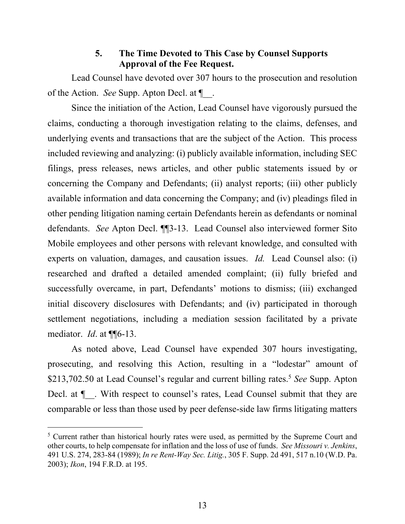#### **5. The Time Devoted to This Case by Counsel Supports Approval of the Fee Request.**

Lead Counsel have devoted over 307 hours to the prosecution and resolution of the Action. *See* Supp. Apton Decl. at ¶\_\_.

Since the initiation of the Action, Lead Counsel have vigorously pursued the claims, conducting a thorough investigation relating to the claims, defenses, and underlying events and transactions that are the subject of the Action. This process included reviewing and analyzing: (i) publicly available information, including SEC filings, press releases, news articles, and other public statements issued by or concerning the Company and Defendants; (ii) analyst reports; (iii) other publicly available information and data concerning the Company; and (iv) pleadings filed in other pending litigation naming certain Defendants herein as defendants or nominal defendants. *See* Apton Decl. ¶¶3-13. Lead Counsel also interviewed former Sito Mobile employees and other persons with relevant knowledge, and consulted with experts on valuation, damages, and causation issues. *Id.* Lead Counsel also: (i) researched and drafted a detailed amended complaint; (ii) fully briefed and successfully overcame, in part, Defendants' motions to dismiss; (iii) exchanged initial discovery disclosures with Defendants; and (iv) participated in thorough settlement negotiations, including a mediation session facilitated by a private mediator. *Id*. at ¶¶6-13.

As noted above, Lead Counsel have expended 307 hours investigating, prosecuting, and resolving this Action, resulting in a "lodestar" amount of \$213,702.50 at Lead Counsel's regular and current billing rates.<sup>5</sup> *See* Supp. Apton Decl. at  $\P$ . With respect to counsel's rates, Lead Counsel submit that they are comparable or less than those used by peer defense-side law firms litigating matters

 $<sup>5</sup>$  Current rather than historical hourly rates were used, as permitted by the Supreme Court and</sup> other courts, to help compensate for inflation and the loss of use of funds. *See Missouri v. Jenkins*, 491 U.S. 274, 283-84 (1989); *In re Rent-Way Sec. Litig.*, 305 F. Supp. 2d 491, 517 n.10 (W.D. Pa. 2003); *Ikon*, 194 F.R.D. at 195.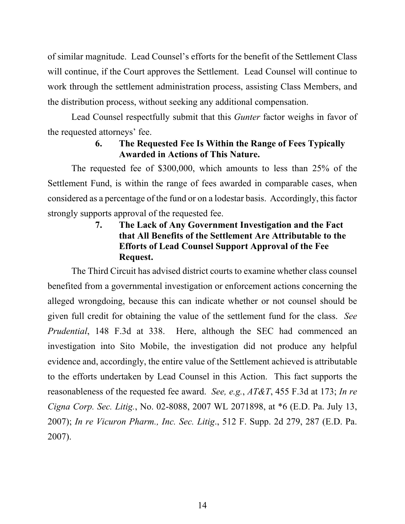of similar magnitude. Lead Counsel's efforts for the benefit of the Settlement Class will continue, if the Court approves the Settlement. Lead Counsel will continue to work through the settlement administration process, assisting Class Members, and the distribution process, without seeking any additional compensation.

Lead Counsel respectfully submit that this *Gunter* factor weighs in favor of the requested attorneys' fee.

### **6. The Requested Fee Is Within the Range of Fees Typically Awarded in Actions of This Nature.**

The requested fee of \$300,000, which amounts to less than 25% of the Settlement Fund, is within the range of fees awarded in comparable cases, when considered as a percentage of the fund or on a lodestar basis. Accordingly, this factor strongly supports approval of the requested fee.

### **7. The Lack of Any Government Investigation and the Fact that All Benefits of the Settlement Are Attributable to the Efforts of Lead Counsel Support Approval of the Fee Request.**

The Third Circuit has advised district courts to examine whether class counsel benefited from a governmental investigation or enforcement actions concerning the alleged wrongdoing, because this can indicate whether or not counsel should be given full credit for obtaining the value of the settlement fund for the class. *See Prudential*, 148 F.3d at 338. Here, although the SEC had commenced an investigation into Sito Mobile, the investigation did not produce any helpful evidence and, accordingly, the entire value of the Settlement achieved is attributable to the efforts undertaken by Lead Counsel in this Action. This fact supports the reasonableness of the requested fee award. *See, e.g.*, *AT&T*, 455 F.3d at 173; *In re Cigna Corp. Sec. Litig.*, No. 02-8088, 2007 WL 2071898, at \*6 (E.D. Pa. July 13, 2007); *In re Vicuron Pharm., Inc. Sec. Litig*., 512 F. Supp. 2d 279, 287 (E.D. Pa. 2007).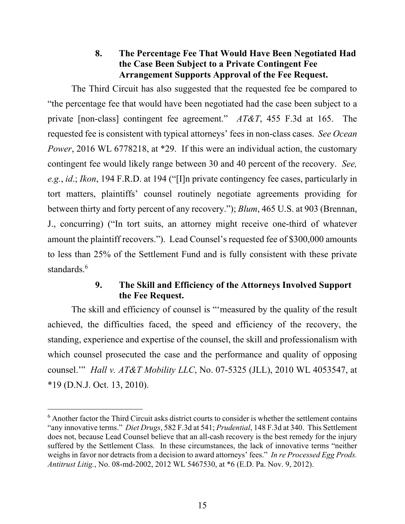#### **8. The Percentage Fee That Would Have Been Negotiated Had the Case Been Subject to a Private Contingent Fee Arrangement Supports Approval of the Fee Request.**

The Third Circuit has also suggested that the requested fee be compared to "the percentage fee that would have been negotiated had the case been subject to a private [non-class] contingent fee agreement." *AT&T*, 455 F.3d at 165. The requested fee is consistent with typical attorneys' fees in non-class cases. *See Ocean Power*, 2016 WL 6778218, at \*29. If this were an individual action, the customary contingent fee would likely range between 30 and 40 percent of the recovery. *See, e.g.*, *id*.; *Ikon*, 194 F.R.D. at 194 ("[I]n private contingency fee cases, particularly in tort matters, plaintiffs' counsel routinely negotiate agreements providing for between thirty and forty percent of any recovery."); *Blum*, 465 U.S. at 903 (Brennan, J., concurring) ("In tort suits, an attorney might receive one-third of whatever amount the plaintiff recovers."). Lead Counsel's requested fee of \$300,000 amounts to less than 25% of the Settlement Fund and is fully consistent with these private standards.<sup>6</sup>

### **9. The Skill and Efficiency of the Attorneys Involved Support the Fee Request.**

The skill and efficiency of counsel is "'measured by the quality of the result achieved, the difficulties faced, the speed and efficiency of the recovery, the standing, experience and expertise of the counsel, the skill and professionalism with which counsel prosecuted the case and the performance and quality of opposing counsel.'" *Hall v. AT&T Mobility LLC*, No. 07-5325 (JLL), 2010 WL 4053547, at \*19 (D.N.J. Oct. 13, 2010).

<sup>&</sup>lt;sup>6</sup> Another factor the Third Circuit asks district courts to consider is whether the settlement contains "any innovative terms." *Diet Drugs*, 582 F.3d at 541; *Prudential*, 148 F.3d at 340. This Settlement does not, because Lead Counsel believe that an all-cash recovery is the best remedy for the injury suffered by the Settlement Class. In these circumstances, the lack of innovative terms "neither weighs in favor nor detracts from a decision to award attorneys' fees." *In re Processed Egg Prods. Antitrust Litig.*, No. 08-md-2002, 2012 WL 5467530, at \*6 (E.D. Pa. Nov. 9, 2012).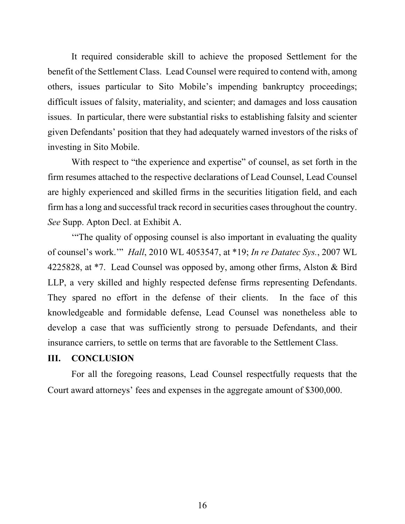It required considerable skill to achieve the proposed Settlement for the benefit of the Settlement Class. Lead Counsel were required to contend with, among others, issues particular to Sito Mobile's impending bankruptcy proceedings; difficult issues of falsity, materiality, and scienter; and damages and loss causation issues. In particular, there were substantial risks to establishing falsity and scienter given Defendants' position that they had adequately warned investors of the risks of investing in Sito Mobile.

With respect to "the experience and expertise" of counsel, as set forth in the firm resumes attached to the respective declarations of Lead Counsel, Lead Counsel are highly experienced and skilled firms in the securities litigation field, and each firm has a long and successful track record in securities cases throughout the country. *See* Supp. Apton Decl. at Exhibit A.

'"The quality of opposing counsel is also important in evaluating the quality of counsel's work.'" *Hall*, 2010 WL 4053547, at \*19; *In re Datatec Sys.*, 2007 WL 4225828, at \*7. Lead Counsel was opposed by, among other firms, Alston & Bird LLP, a very skilled and highly respected defense firms representing Defendants. They spared no effort in the defense of their clients. In the face of this knowledgeable and formidable defense, Lead Counsel was nonetheless able to develop a case that was sufficiently strong to persuade Defendants, and their insurance carriers, to settle on terms that are favorable to the Settlement Class.

#### **III. CONCLUSION**

For all the foregoing reasons, Lead Counsel respectfully requests that the Court award attorneys' fees and expenses in the aggregate amount of \$300,000.